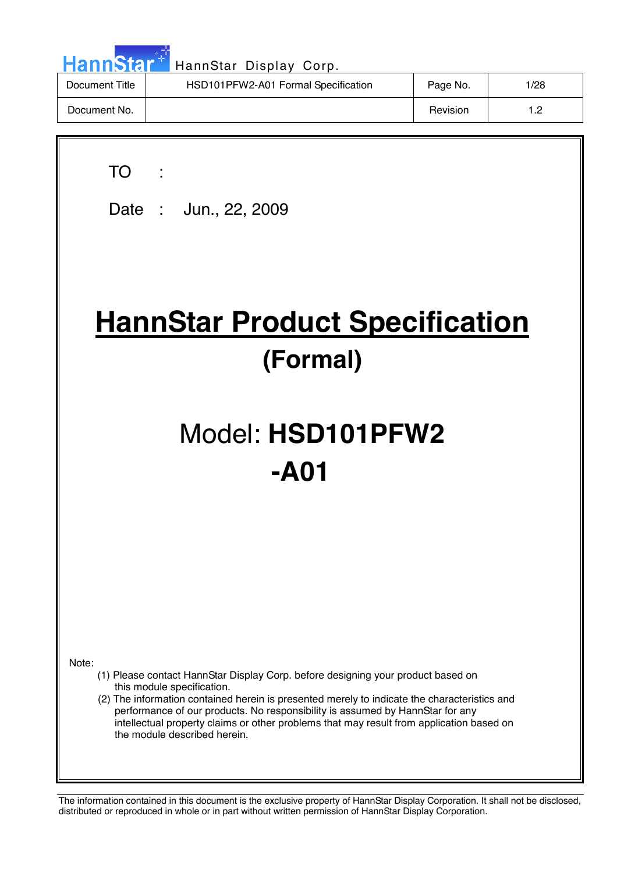| <b>HannStart</b> | HannStar Display Corp.              |          |      |
|------------------|-------------------------------------|----------|------|
| Document Title   | HSD101PFW2-A01 Formal Specification | Page No. | 1/28 |
| Document No.     |                                     | Revision | 1.2  |

| TO TO                                                                                                                                                                                                                                                                                                                                                                                                                       |  |  |  |  |  |
|-----------------------------------------------------------------------------------------------------------------------------------------------------------------------------------------------------------------------------------------------------------------------------------------------------------------------------------------------------------------------------------------------------------------------------|--|--|--|--|--|
| Date: Jun., 22, 2009                                                                                                                                                                                                                                                                                                                                                                                                        |  |  |  |  |  |
|                                                                                                                                                                                                                                                                                                                                                                                                                             |  |  |  |  |  |
| <b>HannStar Product Specification</b>                                                                                                                                                                                                                                                                                                                                                                                       |  |  |  |  |  |
| (Formal)                                                                                                                                                                                                                                                                                                                                                                                                                    |  |  |  |  |  |
| Model: HSD101PFW2                                                                                                                                                                                                                                                                                                                                                                                                           |  |  |  |  |  |
| $-A01$                                                                                                                                                                                                                                                                                                                                                                                                                      |  |  |  |  |  |
|                                                                                                                                                                                                                                                                                                                                                                                                                             |  |  |  |  |  |
|                                                                                                                                                                                                                                                                                                                                                                                                                             |  |  |  |  |  |
| Note:                                                                                                                                                                                                                                                                                                                                                                                                                       |  |  |  |  |  |
| (1) Please contact HannStar Display Corp. before designing your product based on<br>this module specification.<br>(2) The information contained herein is presented merely to indicate the characteristics and<br>performance of our products. No responsibility is assumed by HannStar for any<br>intellectual property claims or other problems that may result from application based on<br>the module described herein. |  |  |  |  |  |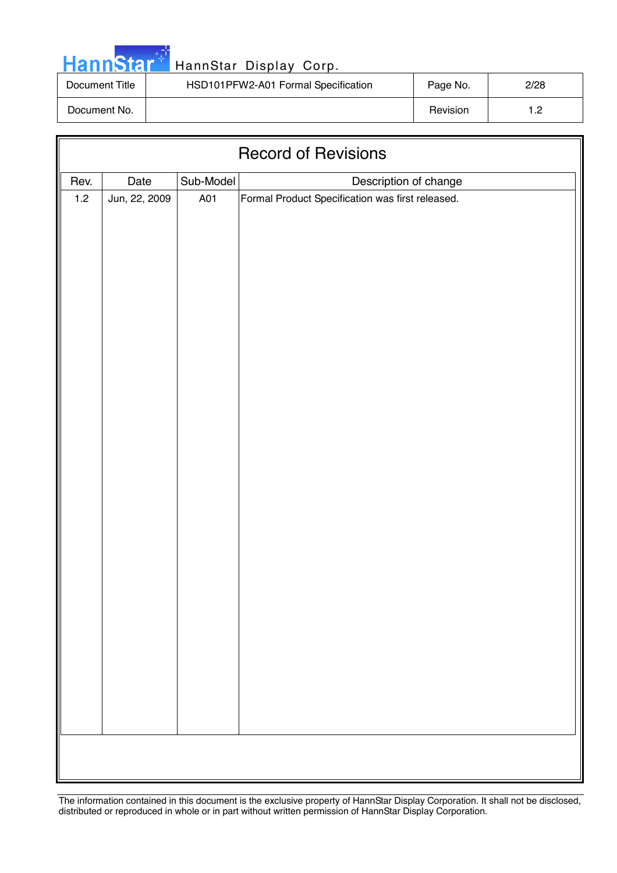| ann | A. |  |
|-----|----|--|
|     |    |  |

| Document Title | HSD101PFW2-A01 Formal Specification | Page No. | 2/28 |
|----------------|-------------------------------------|----------|------|
| Document No.   |                                     | Revision | י-   |

| <b>Record of Revisions</b> |                                            |     |                                                  |  |  |  |  |
|----------------------------|--------------------------------------------|-----|--------------------------------------------------|--|--|--|--|
| Rev.                       | Sub-Model<br>Date<br>Description of change |     |                                                  |  |  |  |  |
| $1.2$                      | Jun, 22, 2009                              | A01 | Formal Product Specification was first released. |  |  |  |  |
|                            |                                            |     |                                                  |  |  |  |  |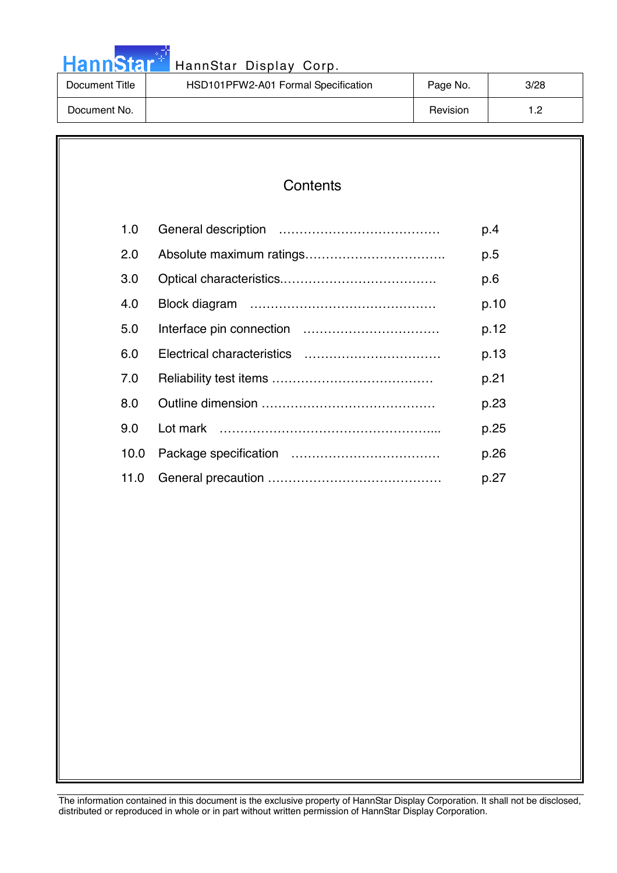|  |  | <b>HannStar</b> |  |
|--|--|-----------------|--|
|  |  |                 |  |

| Document Title | HSD101PFW2-A01 Formal Specification | Page No. | 3/28 |
|----------------|-------------------------------------|----------|------|
| Document No.   |                                     | Revision | - פ  |

### **Contents**

| 1.0  | p.4  |
|------|------|
| 2.0  | p.5  |
| 3.0  | p.6  |
| 4.0  | p.10 |
| 5.0  | p.12 |
| 6.0  | p.13 |
| 7.0  | p.21 |
| 8.0  | p.23 |
| 9.0  | p.25 |
| 10.0 | p.26 |
| 11.0 | p.27 |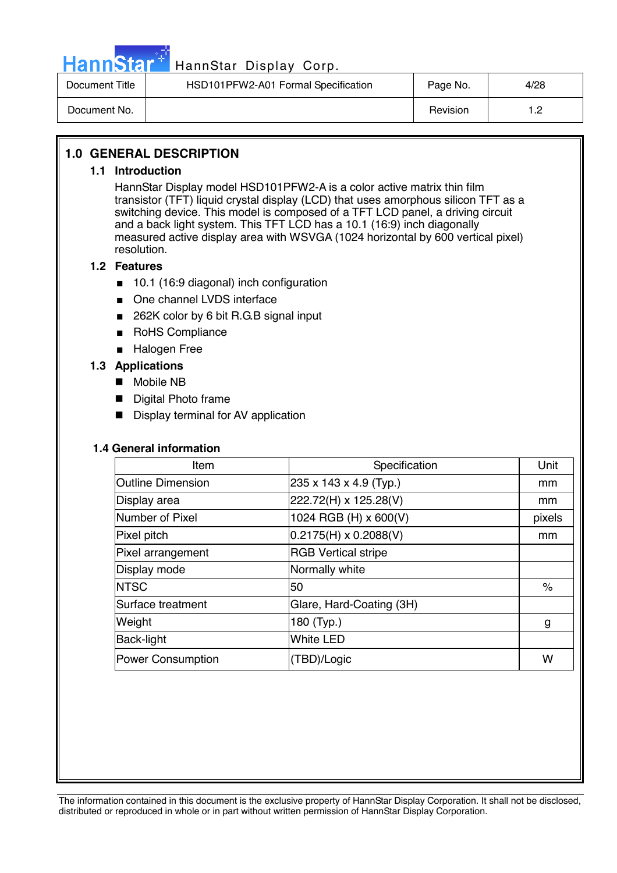

| Document Title | HSD101PFW2-A01 Formal Specification | Page No. | 4/28 |
|----------------|-------------------------------------|----------|------|
| Document No.   |                                     | Revision | - מ  |

#### **1.0 GENERAL DESCRIPTION**

#### **1.1 Introduction**

HannStar Display model HSD101PFW2-A is a color active matrix thin film transistor (TFT) liquid crystal display (LCD) that uses amorphous silicon TFT as a switching device. This model is composed of a TFT LCD panel, a driving circuit and a back light system. This TFT LCD has a 10.1 (16:9) inch diagonally measured active display area with WSVGA (1024 horizontal by 600 vertical pixel) resolution.

#### **1.2 Features**

- 10.1 (16:9 diagonal) inch configuration
- One channel LVDS interface
- 262K color by 6 bit R.G.B signal input
- RoHS Compliance
- Halogen Free

#### **1.3 Applications**

- Mobile NB
- **Digital Photo frame**
- Display terminal for AV application

#### **1.4 General information**

| Item                     | Specification                | Unit   |
|--------------------------|------------------------------|--------|
| <b>Outline Dimension</b> | 235 x 143 x 4.9 (Typ.)       | mm     |
| Display area             | 222.72(H) x 125.28(V)        | mm     |
| Number of Pixel          | 1024 RGB (H) x 600(V)        | pixels |
| Pixel pitch              | $0.2175(H) \times 0.2088(V)$ | mm     |
| Pixel arrangement        | <b>RGB Vertical stripe</b>   |        |
| Display mode             | Normally white               |        |
| <b>INTSC</b>             | 50                           | $\%$   |
| Surface treatment        | Glare, Hard-Coating (3H)     |        |
| Weight                   | 180 (Typ.)                   | g      |
| Back-light               | <b>White LED</b>             |        |
| <b>Power Consumption</b> | (TBD)/Logic                  | W      |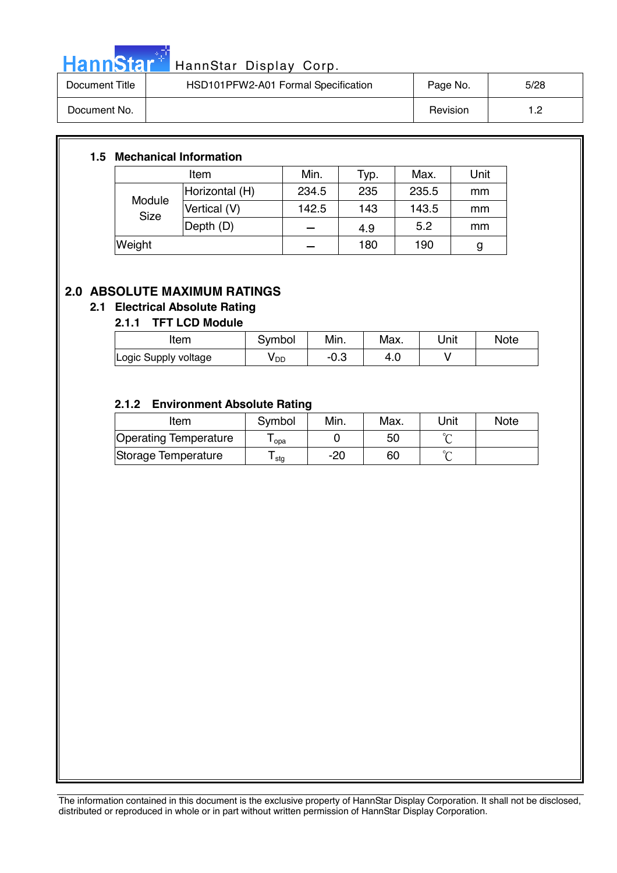

# HannStar<sup>t HannStar</sup> Display Corp.

| Document Title | HSD101PFW2-A01 Formal Specification | Page No. | 5/28 |
|----------------|-------------------------------------|----------|------|
| Document No.   |                                     | Revision | .    |

#### **1.5 Mechanical Information**

| Item                  |                | Min.  | Typ. | Max.  | Unit |
|-----------------------|----------------|-------|------|-------|------|
| Module<br><b>Size</b> | Horizontal (H) | 234.5 | 235  | 235.5 | mm   |
|                       | Vertical (V)   | 142.5 | 143  | 143.5 | mm   |
|                       | Depth (D)      |       | 4.9  | 5.2   | mm   |
| Weight                |                |       | 180  | 190   | g    |

### **2.0 ABSOLUTE MAXIMUM RATINGS**

#### **2.1 Electrical Absolute Rating**

#### **2.1.1 TFT LCD Module**

| Item                 | Symbol          | Min. | Max. | Unit | <b>Note</b> |
|----------------------|-----------------|------|------|------|-------------|
| Logic Supply voltage | y <sub>DD</sub> | −∪.ം | 4.U  |      |             |

#### **2.1.2 Environment Absolute Rating**

| Item                  | Symbol           | Min. | Max. | Unit   | <b>Note</b> |
|-----------------------|------------------|------|------|--------|-------------|
| Operating Temperature | opa              |      | 50   |        |             |
| Storage Temperature   | <sup>l</sup> stg | -20  | 60   | $\sim$ |             |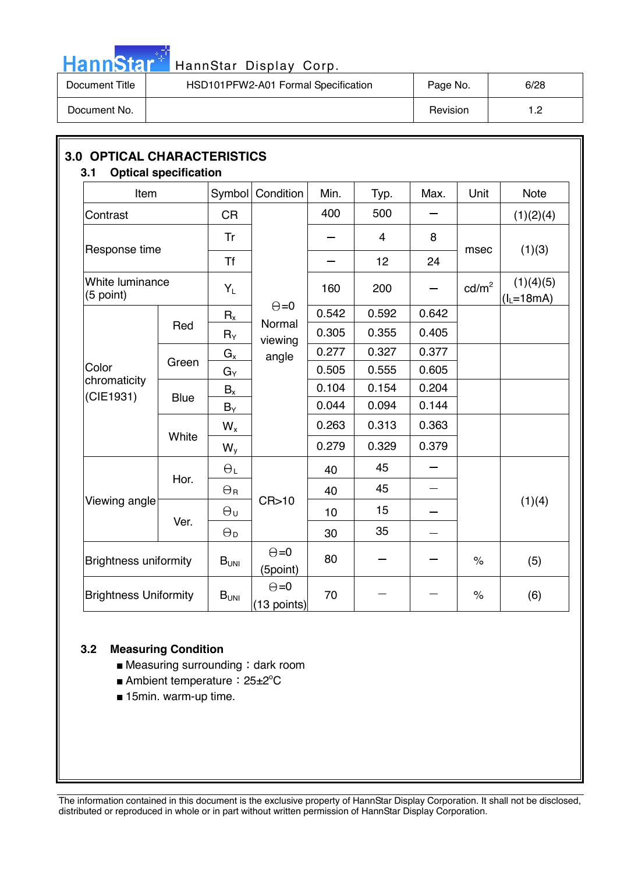

# HannStar<sup>#</sup> HannStar Display Corp.

| Document Title | HSD101PFW2-A01 Formal Specification | Page No. | 6/28 |
|----------------|-------------------------------------|----------|------|
| Document No.   |                                     | Revision | ר ו- |

| Item                         |             | Symbol                | Condition                     | Min.  | Typ.           | Max.  | Unit                 | <b>Note</b>                 |
|------------------------------|-------------|-----------------------|-------------------------------|-------|----------------|-------|----------------------|-----------------------------|
| Contrast                     |             | <b>CR</b>             |                               | 400   | 500            |       |                      | (1)(2)(4)                   |
|                              |             | Tr                    |                               |       | $\overline{4}$ | 8     |                      |                             |
| Response time                |             | <b>Tf</b>             |                               |       | 12             | 24    | msec                 | (1)(3)                      |
| White luminance<br>(5 point) |             | $Y_L$                 |                               | 160   | 200            |       | $\text{cd/m}^2$      | (1)(4)(5)<br>$(I_1 = 18mA)$ |
|                              |             | $R_{x}$               | $\Theta = 0$<br>Normal        | 0.542 | 0.592          | 0.642 |                      |                             |
|                              | Red         | $R_Y$                 | viewing                       | 0.305 | 0.355          | 0.405 |                      |                             |
|                              |             | $G_{x}$               | angle                         | 0.277 | 0.327          | 0.377 |                      |                             |
| Color                        | Green       | Gy                    |                               | 0.505 | 0.555          | 0.605 |                      |                             |
| chromaticity<br>(CIE1931)    |             | $B_{x}$               |                               | 0.104 | 0.154          | 0.204 |                      |                             |
|                              | <b>Blue</b> | $B_Y$                 |                               | 0.044 | 0.094          | 0.144 |                      |                             |
|                              | White       | $W_{x}$               |                               | 0.263 | 0.313          | 0.363 |                      |                             |
|                              |             | $W_{y}$               |                               | 0.279 | 0.329          | 0.379 |                      |                             |
|                              | Hor.        | $\Theta_L$            |                               | 40    | 45             |       |                      |                             |
|                              |             | $\Theta_{\rm R}$      |                               | 40    | 45             |       |                      |                             |
| Viewing angle                |             | $\Theta_{\sf U}$      | CR > 10                       | 10    | 15             |       |                      | (1)(4)                      |
|                              | Ver.        | $\Theta_{\mathsf{D}}$ |                               | 30    | 35             |       |                      |                             |
| <b>Brightness uniformity</b> |             | $B_{UNI}$             | $\Theta = 0$<br>(5point)      | 80    |                |       | $\frac{1}{\sqrt{2}}$ | (5)                         |
| <b>Brightness Uniformity</b> |             | $B_{UNI}$             | $\Theta = 0$<br>$(13$ points) | 70    |                |       | $\%$                 | (6)                         |

#### **3.2 Measuring Condition**

- $\blacksquare$  Measuring surrounding : dark room
- Ambient temperature: 25±2°C
- 15min. warm-up time.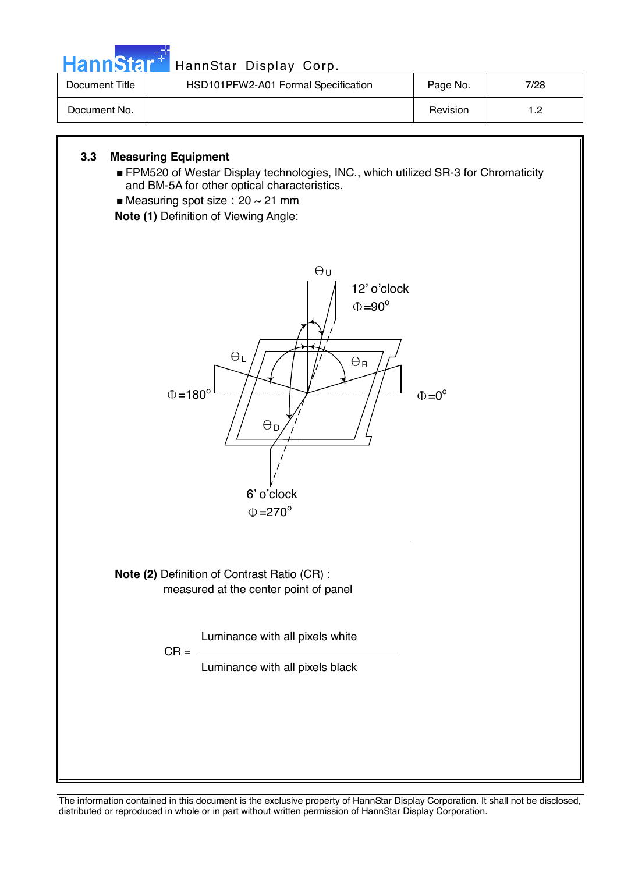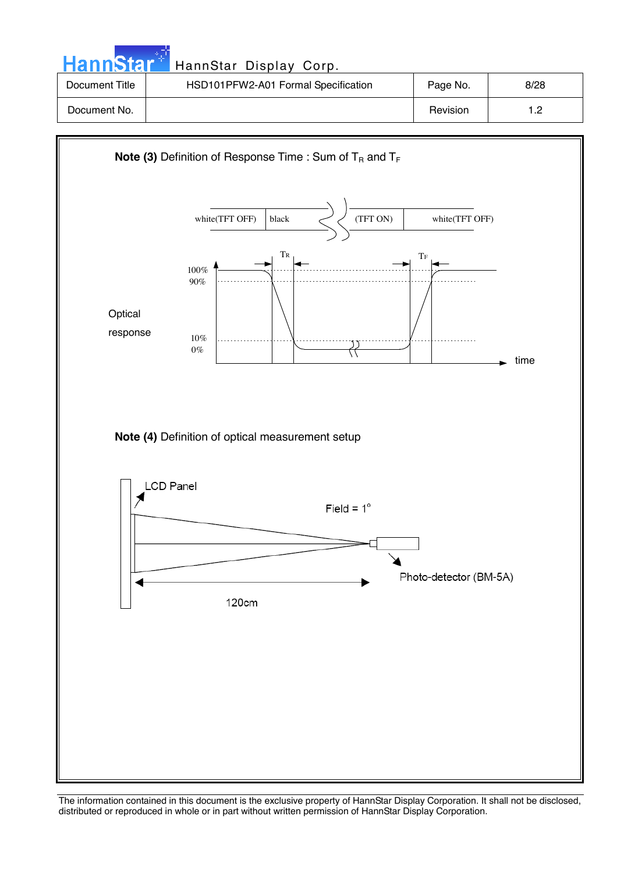| <b>HannStar</b> | HannStar Display Corp.              |          |      |
|-----------------|-------------------------------------|----------|------|
| Document Title  | HSD101PFW2-A01 Formal Specification | Page No. | 8/28 |
| Document No.    |                                     | Revision | 1.2  |

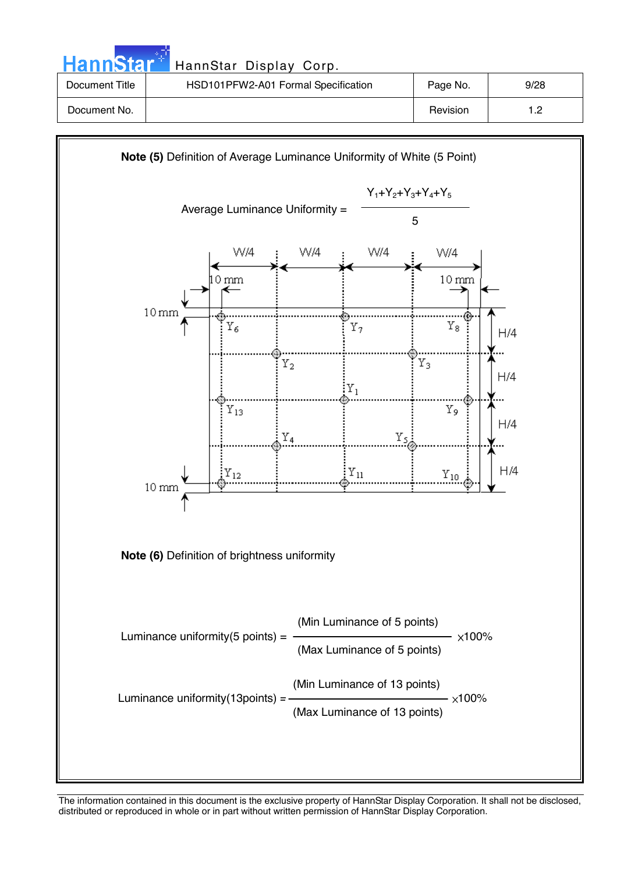| HannStar <sup>*</sup> | HannStar Display Corp.              |          |      |
|-----------------------|-------------------------------------|----------|------|
| Document Title        | HSD101PFW2-A01 Formal Specification | Page No. | 9/28 |
| Document No.          |                                     | Revision | 1.2  |
|                       |                                     |          |      |

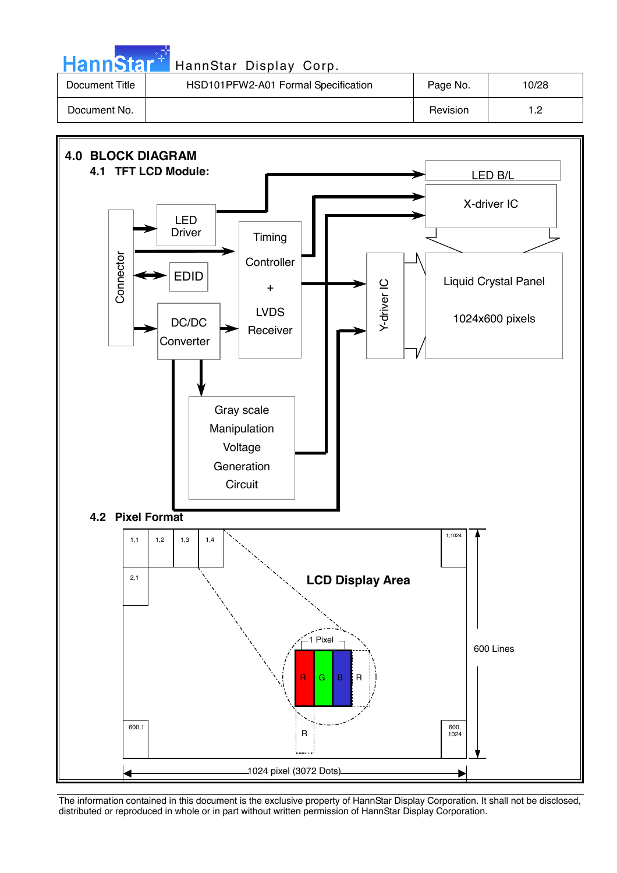| HannStar <sup>+</sup> | HannStar Display Corp.              |          |       |
|-----------------------|-------------------------------------|----------|-------|
| Document Title        | HSD101PFW2-A01 Formal Specification | Page No. | 10/28 |
| Document No.          |                                     | Revision |       |

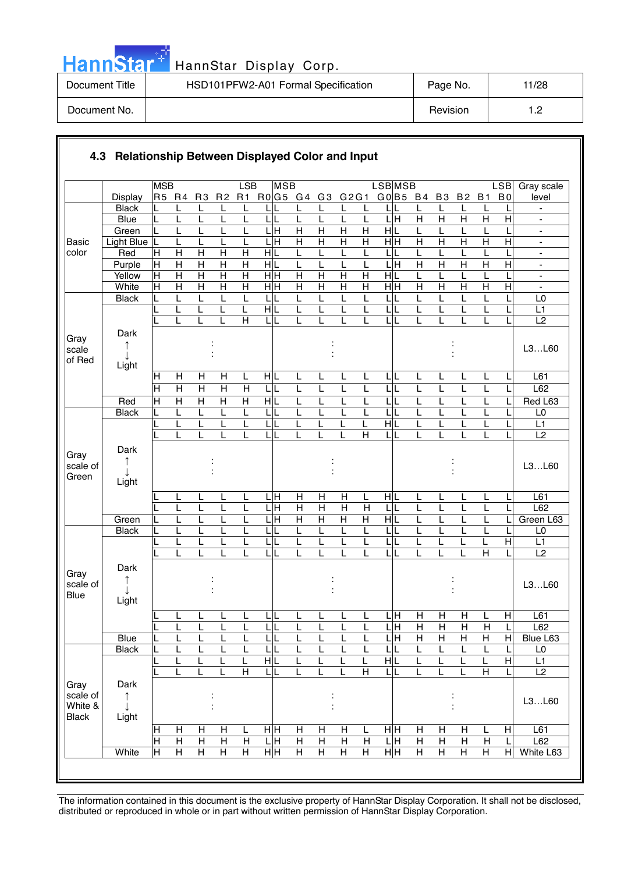|  |  | Hann <b>Star</b> |  |
|--|--|------------------|--|
|  |  |                  |  |
|  |  |                  |  |

### HannStar Display Corp. [19] HannStar Display Corp.

| Document Title | HSD101PFW2-A01 Formal Specification | Page No. | 11/28 |
|----------------|-------------------------------------|----------|-------|
| Document No.   |                                     | Revision | י -   |

|                  |                             | <b>MSB</b>     |                         |                           |                         | LSB                     | <b>MSB</b>                |                                  |                                  |                                |                                | <b>LSB</b> MSB          |                     |                     |                         |                | <b>LSB</b>                | Gray scale                                           |
|------------------|-----------------------------|----------------|-------------------------|---------------------------|-------------------------|-------------------------|---------------------------|----------------------------------|----------------------------------|--------------------------------|--------------------------------|-------------------------|---------------------|---------------------|-------------------------|----------------|---------------------------|------------------------------------------------------|
|                  | <b>Display</b>              |                | R5 R4                   | R <sub>3</sub>            | R <sub>2</sub>          | R1                      | $R0 G5$ $G4$              |                                  | G3                               | G2G1                           |                                | GO B5 B4                |                     | B <sub>3</sub>      | <b>B2</b>               | <b>B1</b>      | B <sub>0</sub>            | level                                                |
|                  | <b>Black</b>                |                |                         | L                         |                         |                         |                           |                                  |                                  |                                | L                              |                         |                     | L                   | L                       |                |                           |                                                      |
|                  | <b>Blue</b>                 | L              | L                       | L                         |                         |                         | L                         | L                                | L                                | L                              | L                              | 듴                       | $\overline{H}$      | $\overline{H}$      | $\overline{\mathsf{H}}$ | $\overline{H}$ | $\overline{H}$            |                                                      |
| Basic            | Green<br><b>Light Blue</b>  | L              | L                       | L                         |                         | L                       | $\frac{1}{\text{H}}$<br>Η | $\overline{H}$<br>$\overline{H}$ | $\overline{H}$<br>$\overline{H}$ | $\overline{H}$<br>$\mathsf{H}$ | $\overline{H}$<br>$\mathsf{H}$ | HIL<br>$\overline{H}$ H | L<br>$\overline{H}$ | L<br>H              | L<br>$\overline{H}$     | $\overline{H}$ | Η                         | $\blacksquare$                                       |
| color            | Red                         | Н              | L<br>$\mathsf{H}$       | L<br>H                    | $\mathsf{H}$            | Н                       | HJL                       | L                                |                                  |                                | L                              | L                       | L                   | L                   | L                       |                |                           | $\overline{\phantom{a}}$<br>$\overline{\phantom{a}}$ |
|                  | Purple                      | H              | $\overline{H}$          | $\overline{H}$            | $\overline{H}$          | $\overline{H}$          | НĿ                        | L                                |                                  |                                | L                              | L<br>Ξ                  | $\overline{H}$      | $\overline{H}$      | $\overline{H}$          | Η              | $\overline{H}$            | $\blacksquare$                                       |
|                  | Yellow                      | $\mathsf{H}$   | $\overline{H}$          | $\overline{\mathsf{H}}$   | $\overline{\mathsf{H}}$ | $\overline{\mathsf{H}}$ | $\overline{H}$ H          | $\overline{\mathsf{H}}$          | $\overline{H}$                   | $\overline{H}$                 | $\overline{H}$                 | H L                     | L                   | L                   | L                       | L              | L                         | $\overline{\phantom{a}}$                             |
|                  | White                       | H              | $\overline{H}$          | $\overline{H}$            | $\overline{H}$          | $\overline{\mathsf{H}}$ | $\overline{H}$ H          | $\overline{H}$                   | $\overline{\mathsf{H}}$          | $\overline{H}$                 | $\overline{H}$                 | $\overline{H}$ H        | $\overline{H}$      | $\overline{H}$      | $\overline{H}$          | $\overline{H}$ | $\overline{H}$            | ä,                                                   |
|                  | <b>Black</b>                |                | L                       | L                         | L                       | L                       | 니                         | L                                | L                                | L                              | L                              | L                       | L                   | L                   | L                       | L              |                           | L <sub>0</sub>                                       |
|                  |                             | L              | L                       | L                         | L                       | L                       | HL                        | L                                | L                                | L                              | L                              | L<br>L                  | L                   | L                   | L                       | L              |                           | L1                                                   |
|                  |                             |                | L                       | L                         |                         | $\overline{H}$          | LIL                       | L                                |                                  |                                | L                              | LL                      | L                   |                     | L                       | L              | L                         | L2                                                   |
| Gray             | Dark                        |                |                         |                           |                         |                         |                           |                                  |                                  |                                |                                |                         |                     |                     |                         |                |                           |                                                      |
| scale            | ↑                           |                |                         |                           |                         |                         |                           |                                  |                                  |                                |                                |                         |                     |                     |                         |                |                           | L3L60                                                |
| of Red           | Light                       |                |                         |                           |                         |                         |                           |                                  |                                  |                                |                                |                         |                     |                     |                         |                |                           |                                                      |
|                  |                             | H              | H                       | $\mathsf{H}$              | Н                       | L                       | HL                        | L                                | L                                |                                | L                              | LIL                     | L                   | L                   | L                       | L              |                           | L61                                                  |
|                  |                             | $\overline{H}$ | $\overline{\mathsf{H}}$ | $\overline{H}$            | $\overline{\mathsf{H}}$ | $\overline{H}$          | L<br>L                    | L                                | L                                |                                | L                              | L                       | L                   | L                   | L                       | L              |                           | L62                                                  |
|                  | Red                         | H              | $\overline{H}$          | $\overline{H}$            | $\overline{H}$          | $\overline{H}$          | $\overline{H}$            | L                                | L                                |                                | L                              | L<br>L                  | L                   | L                   | L                       | L              |                           | Red L63                                              |
|                  | <b>Black</b>                | L              | L                       | L                         | L                       | L                       | L<br>L                    | L                                | L                                | L                              | L                              | L<br>L                  | L                   | L                   | L                       | L              |                           | L <sub>0</sub>                                       |
|                  |                             |                | L                       | L                         |                         | L                       | L                         | L                                | L                                | L                              | L                              | НL                      | L                   | L                   | L                       | L              |                           | L1                                                   |
|                  |                             |                | L                       | L                         |                         | L                       | $\mathsf{L}$              | L                                | L                                | L                              | $\overline{\mathsf{H}}$        | L                       | L                   |                     | L                       |                |                           | L2                                                   |
| Gray             | Dark                        |                |                         |                           |                         |                         |                           |                                  |                                  |                                |                                |                         |                     |                     |                         |                |                           |                                                      |
| scale of         | ↑                           |                |                         |                           |                         |                         |                           |                                  |                                  |                                |                                |                         |                     |                     |                         |                |                           | L3L60                                                |
| Green            | Light                       |                |                         |                           |                         |                         |                           |                                  |                                  |                                |                                |                         |                     |                     |                         |                |                           |                                                      |
|                  |                             |                |                         |                           |                         |                         | . н                       | H                                | Н                                | Н                              |                                | HL                      |                     |                     |                         |                | L                         | L61                                                  |
|                  |                             |                | L<br>L                  | L<br>L                    |                         | L                       | H                         | $\overline{H}$                   | Н                                | $\mathsf{H}$                   | L<br>Н                         | L                       | L<br>L              | L<br>L              | L<br>L                  | L              |                           | L62                                                  |
|                  | Green                       |                |                         | L                         |                         |                         | $\overline{H}$            | $\overline{H}$                   | $\overline{H}$                   | $\overline{H}$                 | $\overline{H}$                 | H L                     | L                   |                     | L                       |                |                           | Green L63                                            |
|                  | <b>Black</b>                |                |                         | L                         |                         |                         | L                         | L                                | L                                |                                | L                              | ЦL                      | L                   |                     | L                       |                |                           | L <sub>0</sub>                                       |
|                  |                             |                | L                       | L                         |                         |                         | L                         | L                                |                                  |                                | L                              | L<br>$\mathsf{L}$       |                     |                     | L                       |                | $\overline{H}$            | L1                                                   |
|                  |                             |                | L                       | L                         |                         |                         | $\mathsf{L}$              | L                                | L                                | L                              | L                              | L                       | L                   | L                   | L                       | Η              |                           | L2                                                   |
|                  | Dark                        |                |                         |                           |                         |                         |                           |                                  |                                  |                                |                                |                         |                     |                     |                         |                |                           |                                                      |
| Gray<br>scale of |                             |                |                         |                           |                         |                         |                           |                                  |                                  |                                |                                |                         |                     |                     |                         |                |                           | L3L60                                                |
| <b>Blue</b>      |                             |                |                         |                           |                         |                         |                           |                                  |                                  |                                |                                |                         |                     |                     |                         |                |                           |                                                      |
|                  | Light                       |                |                         |                           |                         |                         |                           |                                  |                                  |                                |                                |                         |                     |                     |                         |                |                           |                                                      |
|                  |                             |                | щ                       | щ                         | ┕                       | ┕                       | ч                         | ш                                | ┕                                | щ                              |                                | LН                      | $\overline{H}$      | H                   | H                       | ь              | H                         | L61                                                  |
|                  |                             |                | L                       | L                         | L                       | L                       | LIL                       | L                                | L                                | L                              | L                              | ЦH                      | $\mathsf{H}$        | $\mathsf{H}$        | H                       | $\mathsf{H}$   | L                         | L62                                                  |
|                  | <b>Blue</b><br><b>Black</b> |                | L<br>L                  | L<br>L                    | L                       | L<br>L                  | LIL<br>L                  | L<br>L                           |                                  | L                              | L<br>L                         | L H<br>L                | $\overline{H}$<br>L | $\overline{H}$<br>L | $\overline{H}$<br>L     | Н<br>L         | $\mathsf{H}$<br>L         | Blue L63<br>L0                                       |
|                  |                             |                | L                       | L                         |                         | Г                       | НĿ                        | L                                | L                                | L                              | L                              | H L                     | L                   | L                   | L                       | L              | $\overline{H}$            | L1                                                   |
|                  |                             |                | L                       | L                         |                         | $\overline{\mathsf{H}}$ | LL                        | L                                | L                                | L                              | $\overline{\mathsf{H}}$        | L L                     |                     | L                   | L                       | $\overline{H}$ |                           | $\overline{L2}$                                      |
| Gray             | Dark                        |                |                         |                           |                         |                         |                           |                                  |                                  |                                |                                |                         |                     |                     |                         |                |                           |                                                      |
| scale of         | ↑                           |                |                         |                           |                         |                         |                           |                                  |                                  |                                |                                |                         |                     |                     |                         |                |                           |                                                      |
| White &          |                             |                |                         |                           |                         |                         |                           |                                  |                                  |                                |                                |                         |                     |                     |                         |                |                           | L3L60                                                |
| <b>Black</b>     | Light                       |                |                         |                           |                         |                         |                           |                                  |                                  |                                |                                |                         |                     |                     |                         |                |                           |                                                      |
|                  |                             | Н              | H                       | H                         | Н                       | L                       | нĮн                       | H                                | Н                                | H                              | L                              | īн                      | H                   | н                   | H                       | L              | $\boldsymbol{\mathsf{H}}$ | L61                                                  |
|                  |                             | H              | $\overline{H}$          | $\overline{H}$            | $\overline{H}$          | $\mathsf{H}$            | 듴                         | $\overline{H}$                   | $\overline{H}$                   | H                              | $\mathsf{H}$                   | 듴                       | $\overline{H}$      | $\overline{H}$      | $\overline{H}$          | Н              |                           | L62                                                  |
|                  | White                       | Η              | Н                       | $\boldsymbol{\mathsf{H}}$ | $\overline{H}$          | $\overline{H}$          | H H                       | $\overline{H}$                   | $\overline{H}$                   | $\overline{H}$                 | $\overline{H}$                 | $\frac{1}{H}$           | Н                   | H                   | $\overline{H}$          | $\overline{H}$ | $\overline{H}$            | White L63                                            |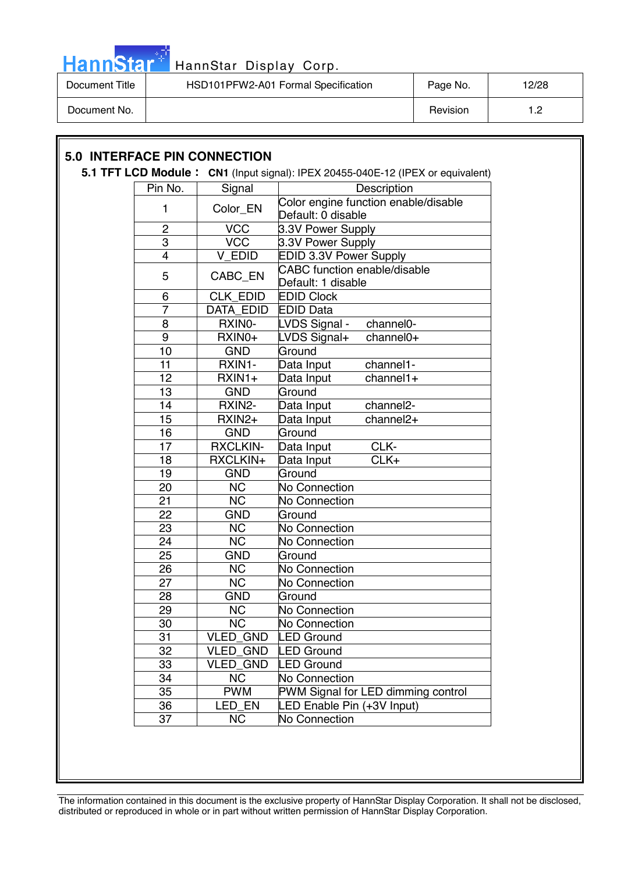

| Document Title | HSD101PFW2-A01 Formal Specification | Page No. | 12/28 |
|----------------|-------------------------------------|----------|-------|
| Document No.   |                                     | Revision | ר -   |

| 5.1 TFT LCD Module: CN1 (Input signal): IPEX 20455-040E-12 (IPEX or equivalent)<br>Signal<br>Pin No.<br>Description<br>Color engine function enable/disable<br>Color EN<br>1<br>Default: 0 disable<br><b>VCC</b><br>$\overline{2}$<br>3.3V Power Supply<br>$\overline{VCC}$<br>3<br>3.3V Power Supply<br>$\overline{4}$<br>V_EDID<br><b>EDID 3.3V Power Supply</b><br><b>CABC</b> function enable/disable<br>CABC_EN<br>5<br>Default: 1 disable<br>CLK EDID<br><b>EDID Clock</b><br>6<br>7<br><b>DATA EDID</b><br><b>EDID Data</b><br>8<br>RXINO-<br>channel0-<br>LVDS Signal -<br>9<br>LVDS Signal+<br>channel0+<br>RXIN <sub>0</sub> +<br>10<br>Ground<br><b>GND</b><br>RXIN1-<br>channel1-<br>11<br>Data Input<br>12<br>$RXIN1+$<br>Data Input<br>$channel1+$<br>13<br><b>GND</b><br>Ground<br>channel <sub>2</sub> -<br>14<br>RXIN2-<br>Data Input<br>15<br>channel <sub>2+</sub><br>RXIN2+<br>Data Input<br><b>GND</b><br>16<br>Ground<br>CLK-<br><b>RXCLKIN-</b><br>17<br>Data Input<br>RXCLKIN+<br>18<br>CLK+<br>Data Input<br>19<br><b>GND</b><br>Ground<br>No Connection<br><b>NC</b><br>20<br><b>NC</b><br>21<br>No Connection<br>22<br><b>GND</b><br>Ground |               |           |    |
|------------------------------------------------------------------------------------------------------------------------------------------------------------------------------------------------------------------------------------------------------------------------------------------------------------------------------------------------------------------------------------------------------------------------------------------------------------------------------------------------------------------------------------------------------------------------------------------------------------------------------------------------------------------------------------------------------------------------------------------------------------------------------------------------------------------------------------------------------------------------------------------------------------------------------------------------------------------------------------------------------------------------------------------------------------------------------------------------------------------------------------------------------------------------|---------------|-----------|----|
|                                                                                                                                                                                                                                                                                                                                                                                                                                                                                                                                                                                                                                                                                                                                                                                                                                                                                                                                                                                                                                                                                                                                                                        |               |           |    |
|                                                                                                                                                                                                                                                                                                                                                                                                                                                                                                                                                                                                                                                                                                                                                                                                                                                                                                                                                                                                                                                                                                                                                                        |               |           |    |
|                                                                                                                                                                                                                                                                                                                                                                                                                                                                                                                                                                                                                                                                                                                                                                                                                                                                                                                                                                                                                                                                                                                                                                        |               |           |    |
|                                                                                                                                                                                                                                                                                                                                                                                                                                                                                                                                                                                                                                                                                                                                                                                                                                                                                                                                                                                                                                                                                                                                                                        |               |           |    |
|                                                                                                                                                                                                                                                                                                                                                                                                                                                                                                                                                                                                                                                                                                                                                                                                                                                                                                                                                                                                                                                                                                                                                                        |               |           |    |
|                                                                                                                                                                                                                                                                                                                                                                                                                                                                                                                                                                                                                                                                                                                                                                                                                                                                                                                                                                                                                                                                                                                                                                        |               |           |    |
|                                                                                                                                                                                                                                                                                                                                                                                                                                                                                                                                                                                                                                                                                                                                                                                                                                                                                                                                                                                                                                                                                                                                                                        |               |           |    |
|                                                                                                                                                                                                                                                                                                                                                                                                                                                                                                                                                                                                                                                                                                                                                                                                                                                                                                                                                                                                                                                                                                                                                                        |               |           |    |
|                                                                                                                                                                                                                                                                                                                                                                                                                                                                                                                                                                                                                                                                                                                                                                                                                                                                                                                                                                                                                                                                                                                                                                        |               |           |    |
|                                                                                                                                                                                                                                                                                                                                                                                                                                                                                                                                                                                                                                                                                                                                                                                                                                                                                                                                                                                                                                                                                                                                                                        |               |           |    |
|                                                                                                                                                                                                                                                                                                                                                                                                                                                                                                                                                                                                                                                                                                                                                                                                                                                                                                                                                                                                                                                                                                                                                                        |               |           |    |
|                                                                                                                                                                                                                                                                                                                                                                                                                                                                                                                                                                                                                                                                                                                                                                                                                                                                                                                                                                                                                                                                                                                                                                        |               |           |    |
|                                                                                                                                                                                                                                                                                                                                                                                                                                                                                                                                                                                                                                                                                                                                                                                                                                                                                                                                                                                                                                                                                                                                                                        |               |           |    |
|                                                                                                                                                                                                                                                                                                                                                                                                                                                                                                                                                                                                                                                                                                                                                                                                                                                                                                                                                                                                                                                                                                                                                                        |               |           |    |
|                                                                                                                                                                                                                                                                                                                                                                                                                                                                                                                                                                                                                                                                                                                                                                                                                                                                                                                                                                                                                                                                                                                                                                        |               |           |    |
|                                                                                                                                                                                                                                                                                                                                                                                                                                                                                                                                                                                                                                                                                                                                                                                                                                                                                                                                                                                                                                                                                                                                                                        |               |           |    |
|                                                                                                                                                                                                                                                                                                                                                                                                                                                                                                                                                                                                                                                                                                                                                                                                                                                                                                                                                                                                                                                                                                                                                                        |               |           |    |
|                                                                                                                                                                                                                                                                                                                                                                                                                                                                                                                                                                                                                                                                                                                                                                                                                                                                                                                                                                                                                                                                                                                                                                        |               |           |    |
|                                                                                                                                                                                                                                                                                                                                                                                                                                                                                                                                                                                                                                                                                                                                                                                                                                                                                                                                                                                                                                                                                                                                                                        |               |           |    |
|                                                                                                                                                                                                                                                                                                                                                                                                                                                                                                                                                                                                                                                                                                                                                                                                                                                                                                                                                                                                                                                                                                                                                                        |               |           |    |
|                                                                                                                                                                                                                                                                                                                                                                                                                                                                                                                                                                                                                                                                                                                                                                                                                                                                                                                                                                                                                                                                                                                                                                        |               |           |    |
|                                                                                                                                                                                                                                                                                                                                                                                                                                                                                                                                                                                                                                                                                                                                                                                                                                                                                                                                                                                                                                                                                                                                                                        |               |           |    |
|                                                                                                                                                                                                                                                                                                                                                                                                                                                                                                                                                                                                                                                                                                                                                                                                                                                                                                                                                                                                                                                                                                                                                                        |               |           |    |
|                                                                                                                                                                                                                                                                                                                                                                                                                                                                                                                                                                                                                                                                                                                                                                                                                                                                                                                                                                                                                                                                                                                                                                        |               |           |    |
|                                                                                                                                                                                                                                                                                                                                                                                                                                                                                                                                                                                                                                                                                                                                                                                                                                                                                                                                                                                                                                                                                                                                                                        | No Connection | <b>NC</b> | 23 |
| $\overline{\text{NC}}$<br>24<br>No Connection                                                                                                                                                                                                                                                                                                                                                                                                                                                                                                                                                                                                                                                                                                                                                                                                                                                                                                                                                                                                                                                                                                                          |               |           |    |
| <b>GND</b><br>25<br>Ground                                                                                                                                                                                                                                                                                                                                                                                                                                                                                                                                                                                                                                                                                                                                                                                                                                                                                                                                                                                                                                                                                                                                             |               |           |    |
| <b>NC</b><br>No Connection<br>26                                                                                                                                                                                                                                                                                                                                                                                                                                                                                                                                                                                                                                                                                                                                                                                                                                                                                                                                                                                                                                                                                                                                       |               |           |    |
| <b>NC</b><br>27<br>No Connection                                                                                                                                                                                                                                                                                                                                                                                                                                                                                                                                                                                                                                                                                                                                                                                                                                                                                                                                                                                                                                                                                                                                       |               |           |    |
| 28<br><b>GND</b><br>Ground                                                                                                                                                                                                                                                                                                                                                                                                                                                                                                                                                                                                                                                                                                                                                                                                                                                                                                                                                                                                                                                                                                                                             |               |           |    |
| $\overline{29}$<br>NC<br>No Connection                                                                                                                                                                                                                                                                                                                                                                                                                                                                                                                                                                                                                                                                                                                                                                                                                                                                                                                                                                                                                                                                                                                                 |               |           |    |
| <b>NC</b><br>30<br>No Connection                                                                                                                                                                                                                                                                                                                                                                                                                                                                                                                                                                                                                                                                                                                                                                                                                                                                                                                                                                                                                                                                                                                                       |               |           |    |
| 31<br>VLED_GND<br><b>LED Ground</b>                                                                                                                                                                                                                                                                                                                                                                                                                                                                                                                                                                                                                                                                                                                                                                                                                                                                                                                                                                                                                                                                                                                                    |               |           |    |
| 32<br>VLED_GND<br><b>LED Ground</b>                                                                                                                                                                                                                                                                                                                                                                                                                                                                                                                                                                                                                                                                                                                                                                                                                                                                                                                                                                                                                                                                                                                                    |               |           |    |
| VLED_GND<br>33<br><b>LED Ground</b>                                                                                                                                                                                                                                                                                                                                                                                                                                                                                                                                                                                                                                                                                                                                                                                                                                                                                                                                                                                                                                                                                                                                    |               |           |    |
| $\overline{\text{NC}}$<br>34<br>No Connection                                                                                                                                                                                                                                                                                                                                                                                                                                                                                                                                                                                                                                                                                                                                                                                                                                                                                                                                                                                                                                                                                                                          |               |           |    |
| <b>PWM</b><br>35<br>PWM Signal for LED dimming control                                                                                                                                                                                                                                                                                                                                                                                                                                                                                                                                                                                                                                                                                                                                                                                                                                                                                                                                                                                                                                                                                                                 |               |           |    |
| LED Enable Pin (+3V Input)<br>36<br>LED EN                                                                                                                                                                                                                                                                                                                                                                                                                                                                                                                                                                                                                                                                                                                                                                                                                                                                                                                                                                                                                                                                                                                             |               |           |    |
| 37<br><b>NC</b><br>No Connection                                                                                                                                                                                                                                                                                                                                                                                                                                                                                                                                                                                                                                                                                                                                                                                                                                                                                                                                                                                                                                                                                                                                       |               |           |    |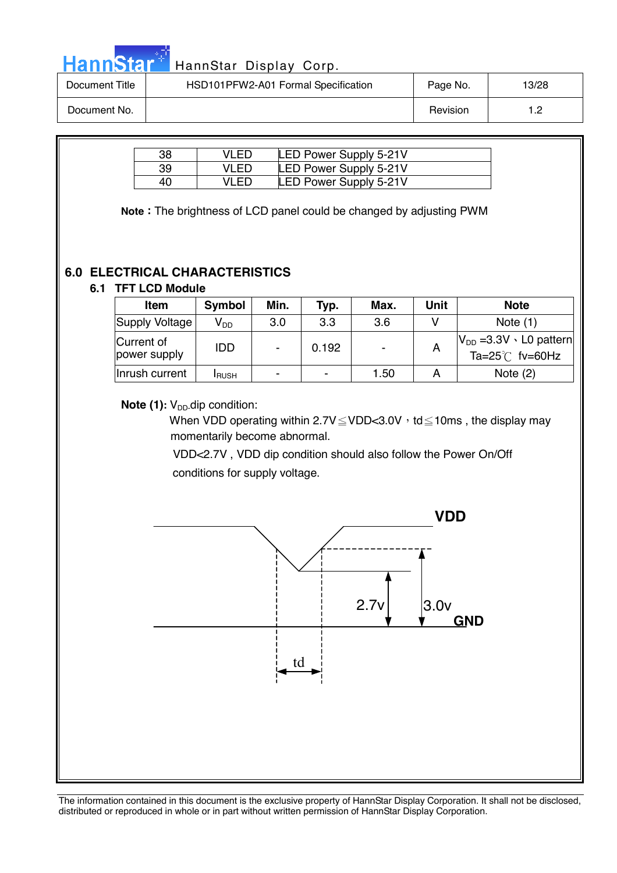|  | HannStar <sup>*</sup> |
|--|-----------------------|
|  |                       |
|  |                       |

| Document Title | HSD101PFW2-A01 Formal Specification | Page No. | 13/28 |
|----------------|-------------------------------------|----------|-------|
| Document No.   |                                     | Revision | ה ו-  |

| 38 | VI ED  | <b>LED Power Supply 5-21V</b> |
|----|--------|-------------------------------|
| 39 | VI ED. | <b>LED Power Supply 5-21V</b> |
| 40 | VI ED. | <b>LED Power Supply 5-21V</b> |

**Note**: The brightness of LCD panel could be changed by adjusting PWM

### **6.0 ELECTRICAL CHARACTERISTICS**

#### **6.1 TFT LCD Module**

| <b>Item</b>                | <b>Symbol</b>   | Min.           | Typ.                     | Max.                     | Unit | <b>Note</b>                                                     |
|----------------------------|-----------------|----------------|--------------------------|--------------------------|------|-----------------------------------------------------------------|
| Supply Voltage             | V <sub>DD</sub> | 3.0            | 3.3                      | 3.6                      |      | Note $(1)$                                                      |
| Current of<br>power supply | <b>IDD</b>      | $\blacksquare$ | 0.192                    | $\overline{\phantom{a}}$ | A    | $ V_{DD} = 3.3V \cdot L0$ pattern<br>Ta= $25^{\circ}$ C fv=60Hz |
| Inrush current             | <b>I</b> RUSH   | $\blacksquare$ | $\overline{\phantom{a}}$ | 1.50                     |      | Note $(2)$                                                      |

**Note (1):** V<sub>DD</sub>-dip condition:

When VDD operating within  $2.7V \leq VDD < 3.0V$ , td  $\leq 10$ ms, the display may momentarily become abnormal.

 VDD<2.7V , VDD dip condition should also follow the Power On/Off conditions for supply voltage.

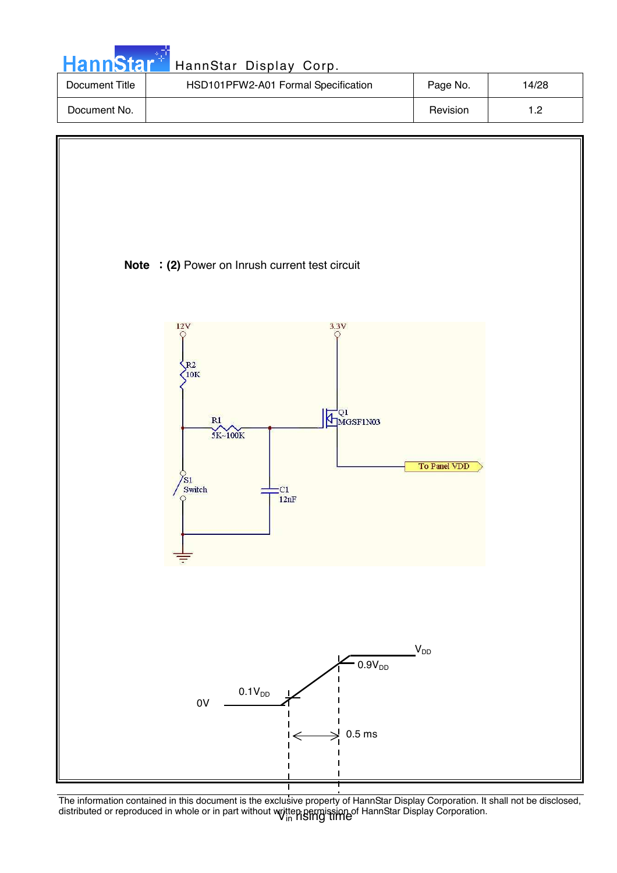| HannStar <sup>*</sup> | HannStar Display Corp.              |          |       |
|-----------------------|-------------------------------------|----------|-------|
| Document Title        | HSD101PFW2-A01 Formal Specification | Page No. | 14/28 |
| Document No.          |                                     | Revision | 1.2   |



The information contained in this document is the exclusive property of HannStar Display Corporation. It shall not be disclosed, distributed or reproduced in whole or in part without written permission of HannStar Display Corporation.<br>In TISING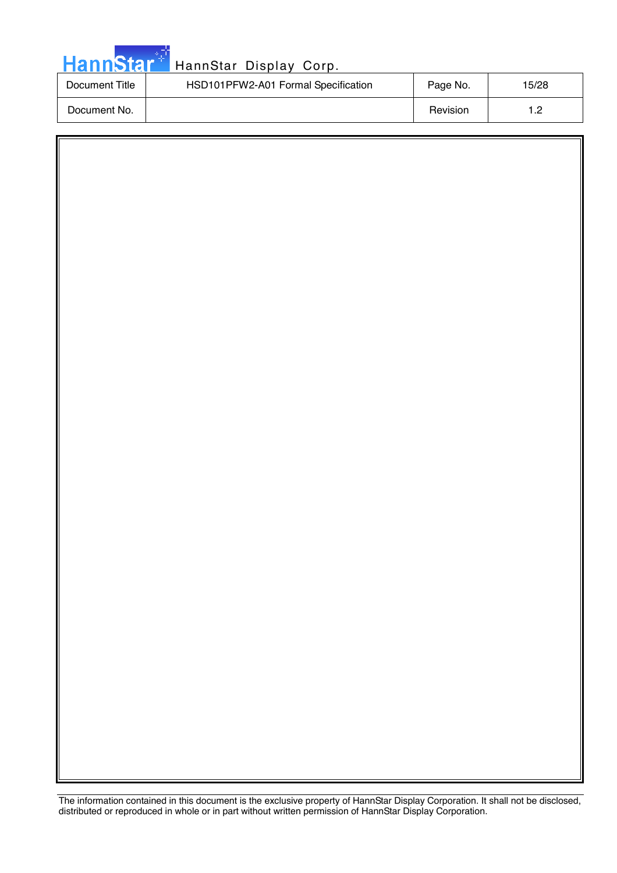| <b>Hannster</b> |  |
|-----------------|--|
|                 |  |

| Document Title | HSD101PFW2-A01 Formal Specification | Page No. | 15/28 |
|----------------|-------------------------------------|----------|-------|
| Document No.   |                                     | Revision | - ר   |

| The information contained in this document is the exclusive property of HannStar Display Corporation. It shall not be disclosed, |
|----------------------------------------------------------------------------------------------------------------------------------|
| distributed or reproduced in whole or in part without written permission of HannStar Display Corporation.                        |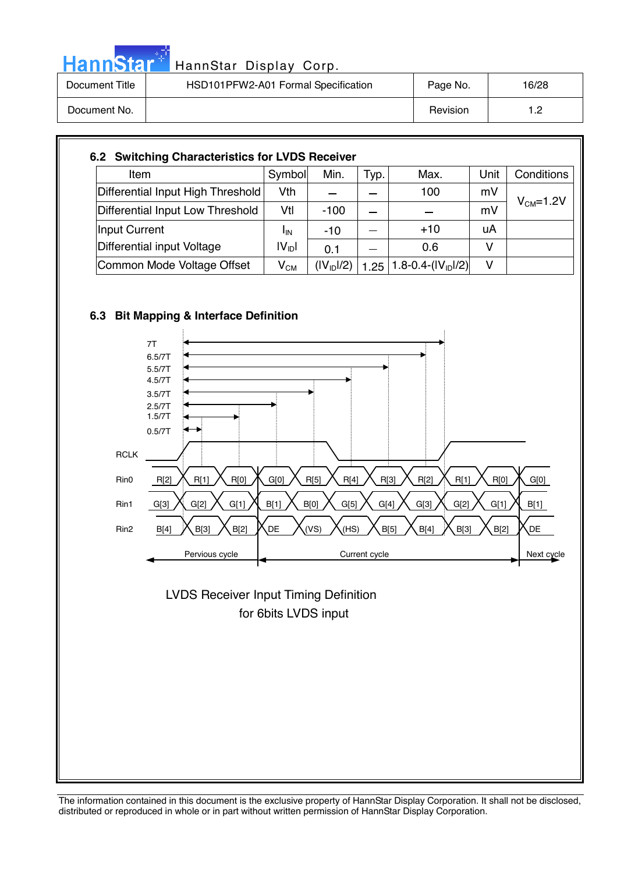| HannStar Display Corp. |  |  |
|------------------------|--|--|
|------------------------|--|--|

| Document Title | HSD101PFW2-A01 Formal Specification | Page No. | 16/28        |
|----------------|-------------------------------------|----------|--------------|
| Document No.   |                                     | Revision | . . <u>.</u> |

| Item                              | Symbol            | Min.                   | Typ. | Max.                 | Unit | Conditions      |  |
|-----------------------------------|-------------------|------------------------|------|----------------------|------|-----------------|--|
| Differential Input High Threshold | Vth               |                        |      | 100                  | mV   |                 |  |
| Differential Input Low Threshold  | Vtl               | $-100$                 |      |                      | mV   | $V_{CM} = 1.2V$ |  |
| Input Current                     | ΙıΝ               | -10                    |      | $+10$                | uA   |                 |  |
| Differential input Voltage        | $ V_{\text{ID}} $ | 0.1                    |      | 0.6                  | v    |                 |  |
| Common Mode Voltage Offset        | $V_{CM}$          | (IV <sub>ID</sub> ]/2) | 1.25 | 1.8-0.4- $(IVIDI/2)$ | v    |                 |  |





 for 6bits LVDS input LVDS Receiver Input Timing Definition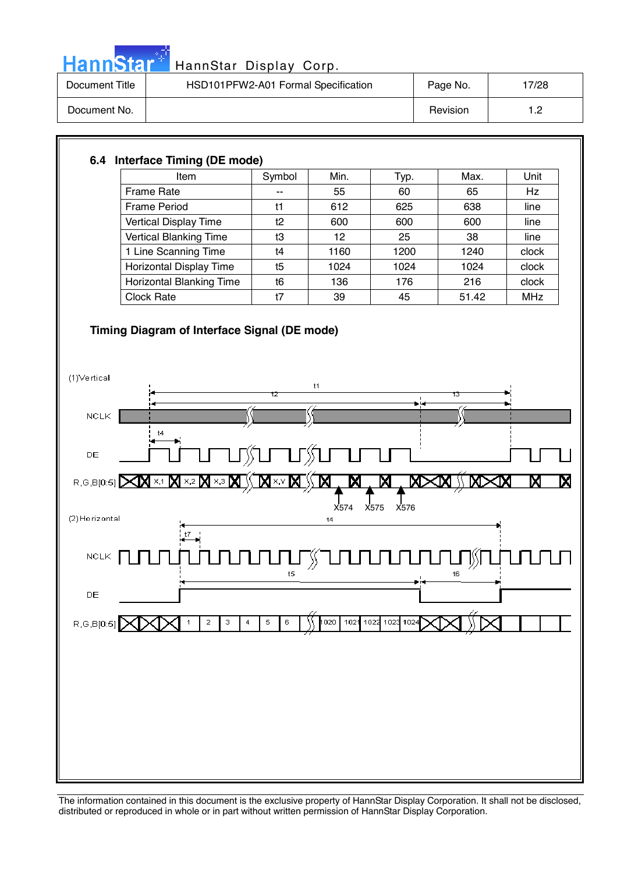

# HannStar<sup>#</sup> HannStar Display Corp.

| Document Title | HSD101PFW2-A01 Formal Specification | Page No. | 7/28 |
|----------------|-------------------------------------|----------|------|
| Document No.   |                                     | Revision | .    |

#### **6.4 Interface Timing (DE mode)**

| Item                            | Symbol | Min. | Typ. | Max.  | Unit       |
|---------------------------------|--------|------|------|-------|------------|
| <b>Frame Rate</b>               | $- -$  | 55   | 60   | 65    | Hz         |
| <b>Frame Period</b>             | t1     | 612  | 625  | 638   | line       |
| Vertical Display Time           | t2     | 600  | 600  | 600   | line       |
| <b>Vertical Blanking Time</b>   | t3     | 12   | 25   | 38    | line       |
| 1 Line Scanning Time            | t4     | 1160 | 1200 | 1240  | clock      |
| Horizontal Display Time         | t5     | 1024 | 1024 | 1024  | clock      |
| <b>Horizontal Blanking Time</b> | t6     | 136  | 176  | 216   | clock      |
| <b>Clock Rate</b>               | t7     | 39   | 45   | 51.42 | <b>MHz</b> |

#### **Timing Diagram of Interface Signal (DE mode)**

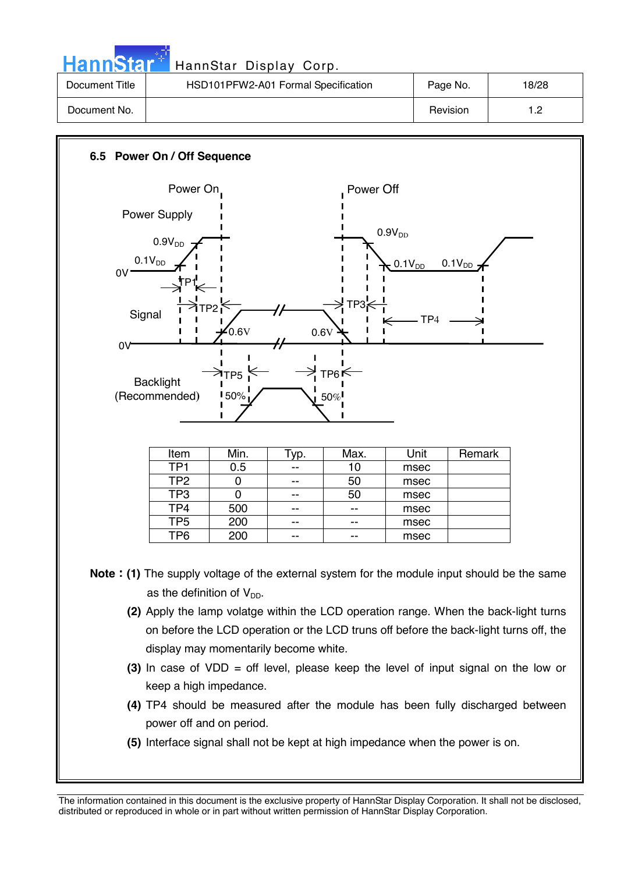| <b>Hannstar</b> T | HannStar Display Corp.              |          |       |
|-------------------|-------------------------------------|----------|-------|
| Document Title    | HSD101PFW2-A01 Formal Specification | Page No. | 18/28 |
| Document No.      |                                     | Revision | 1.2   |

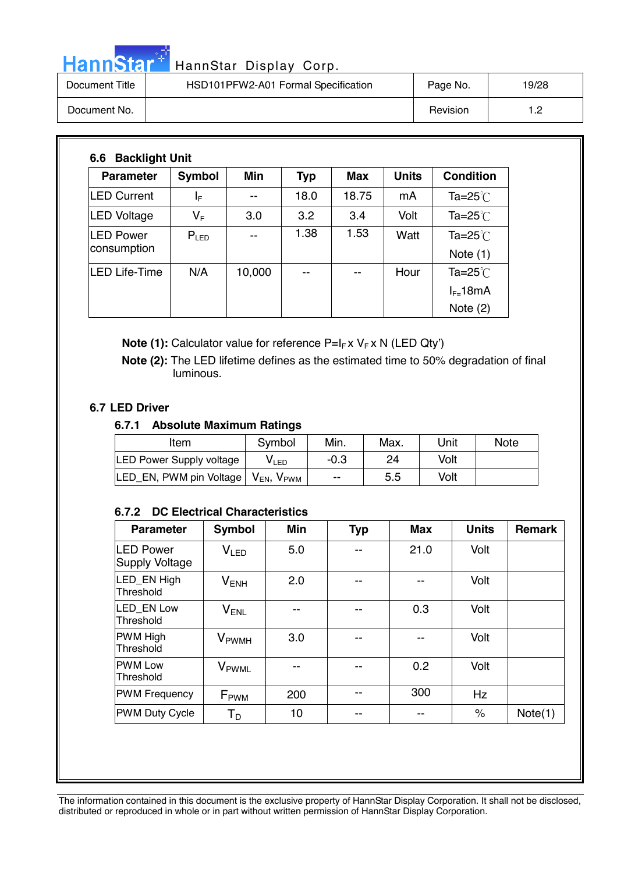# HannStar<sup>t HannStar</sup> Display Corp.

| Document Title | HSD101PFW2-A01 Formal Specification | Page No. | 19/28 |
|----------------|-------------------------------------|----------|-------|
| Document No.   |                                     | Revision | 2. ا  |

| <b>Parameter</b>                | <b>Symbol</b> | Min    | <b>Typ</b> | <b>Max</b> | <b>Units</b> | <b>Condition</b>                 |
|---------------------------------|---------------|--------|------------|------------|--------------|----------------------------------|
| <b>LED Current</b>              | ΙF            | --     | 18.0       | 18.75      | mA           | Ta= $25^{\circ}$                 |
| LED Voltage                     | $V_F$         | 3.0    | 3.2        | 3.4        | Volt         | Ta=25 $°C$                       |
| <b>LED Power</b><br>consumption | $P_{LED}$     | --     | 1.38       | 1.53       | Watt         | Ta= $25^{\circ}$ C<br>Note $(1)$ |
| LED Life-Time                   | N/A           | 10,000 | --         | --         | Hour         | Ta= $25^{\circ}$ C               |
|                                 |               |        |            |            |              | $I_{F=}$ 18mA<br>Note $(2)$      |

**Note (1):** Calculator value for reference P=I<sub>F</sub> x V<sub>F</sub> x N (LED Qty')

 **Note (2):** The LED lifetime defines as the estimated time to 50% degradation of final luminous.

#### **6.7 LED Driver**

#### **6.7.1 Absolute Maximum Ratings**

| Item                                                         | Symbol           | Min.   | Max. | Unit | <b>Note</b> |
|--------------------------------------------------------------|------------------|--------|------|------|-------------|
| <b>LED Power Supply voltage</b>                              | V <sub>LED</sub> | $-0.3$ | 24   | Volt |             |
| LED_EN, PWM pin Voltage   V <sub>EN</sub> , V <sub>PWM</sub> |                  | --     | 5.5  | Volt |             |

#### **6.7.2 DC Electrical Characteristics**

| <b>Parameter</b>                          | Symbol                   | <b>Min</b> | <b>Typ</b> | <b>Max</b> | <b>Units</b> | <b>Remark</b> |
|-------------------------------------------|--------------------------|------------|------------|------------|--------------|---------------|
| <b>LED Power</b><br><b>Supply Voltage</b> | V <sub>LED</sub>         | 5.0        |            | 21.0       | Volt         |               |
| LED EN High<br>Threshold                  | $V_{ENH}$                | 2.0        |            |            | Volt         |               |
| LED EN Low<br>Threshold                   | $V_{ENL}$                |            |            | 0.3        | Volt         |               |
| <b>PWM High</b><br>Threshold              | <b>V</b> <sub>PWMH</sub> | 3.0        |            |            | Volt         |               |
| <b>IPWM Low</b><br>Threshold              | V <sub>PWML</sub>        | --         | --         | 0.2        | Volt         |               |
| <b>PWM Frequency</b>                      | $F_{\rm PWM}$            | 200        |            | 300        | Hz           |               |
| <b>PWM Duty Cycle</b>                     | Т <sub>р</sub>           | 10         | --         | --         | $\%$         | Note(1)       |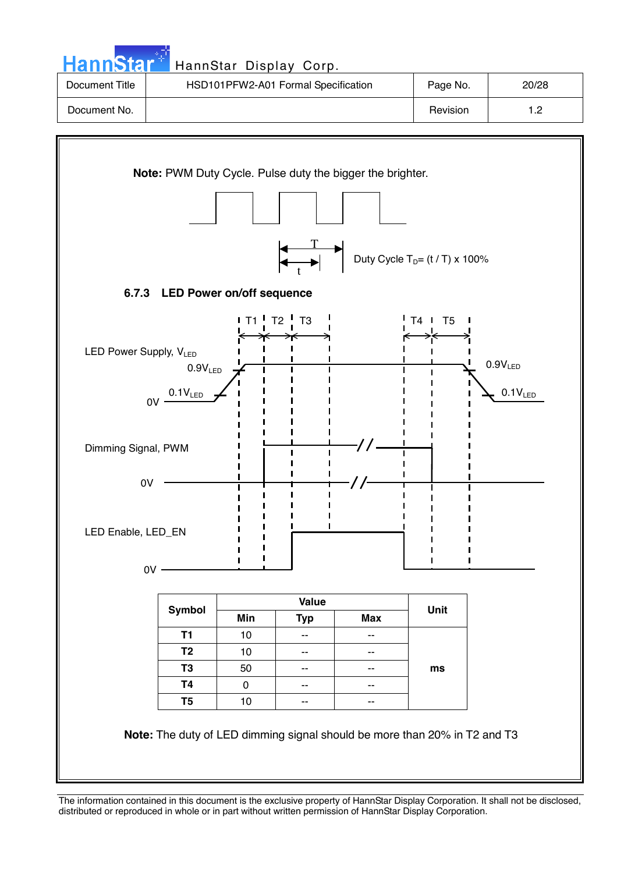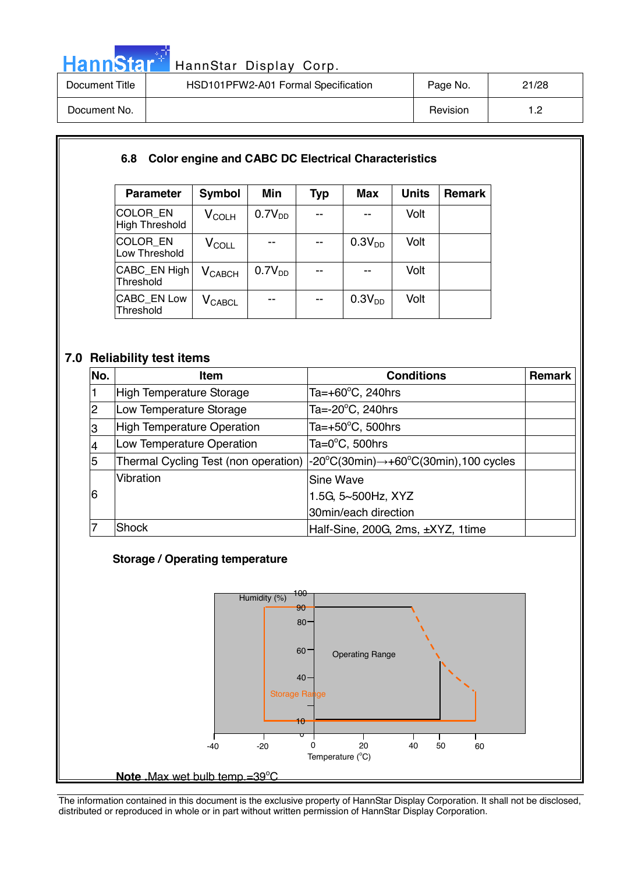

# HannStar<sup>17</sup> HannStar Display Corp.

| Document Title | HSD101PFW2-A01 Formal Specification | Page No. | 21/28 |
|----------------|-------------------------------------|----------|-------|
| Document No.   |                                     | Revision | ר 1   |

#### **6.8 Color engine and CABC DC Electrical Characteristics**

| <b>Parameter</b>                | <b>Symbol</b>  | Min                | <b>Typ</b> | <b>Max</b>         | <b>Units</b> | <b>Remark</b> |
|---------------------------------|----------------|--------------------|------------|--------------------|--------------|---------------|
| COLOR EN<br>High Threshold      | $V_{\rm COLH}$ | 0.7V <sub>DD</sub> |            | --                 | Volt         |               |
| COLOR EN<br>Low Threshold       | $V_{\rm COLL}$ |                    |            | 0.3V <sub>DD</sub> | Volt         |               |
| CABC EN High<br>Threshold       | $V_{CABCH}$    | 0.7V <sub>DD</sub> |            | --                 | Volt         |               |
| <b>CABC EN Low</b><br>Threshold | $V_{CABCL}$    |                    |            | 0.3V <sub>DD</sub> | Volt         |               |

#### **7.0 Reliability test items**

| No. | <b>Item</b>                       | <b>Conditions</b>                                                                                                                    | <b>Remark</b> |
|-----|-----------------------------------|--------------------------------------------------------------------------------------------------------------------------------------|---------------|
|     | High Temperature Storage          | Ta=+60°C, 240hrs                                                                                                                     |               |
| 2   | Low Temperature Storage           | Ta=-20°C, 240hrs                                                                                                                     |               |
| 3   | <b>High Temperature Operation</b> | Ta=+50 $^{\circ}$ C, 500hrs                                                                                                          |               |
| 4   | Low Temperature Operation         | Ta=0 $^{\circ}$ C, 500hrs                                                                                                            |               |
| 5   |                                   | Thermal Cycling Test (non operation) $\vert$ -20 $\mathrm{^{\circ}C(30min)} \rightarrow$ +60 $\mathrm{^{\circ}C(30min)}$ ,100 cycles |               |
|     | Vibration                         | Sine Wave                                                                                                                            |               |
| 6   |                                   | 1.5G, 5~500Hz, XYZ                                                                                                                   |               |
|     |                                   | 30min/each direction                                                                                                                 |               |
|     | Shock                             | Half-Sine, 200G, 2ms, ±XYZ, 1time                                                                                                    |               |

#### **Storage / Operating temperature**

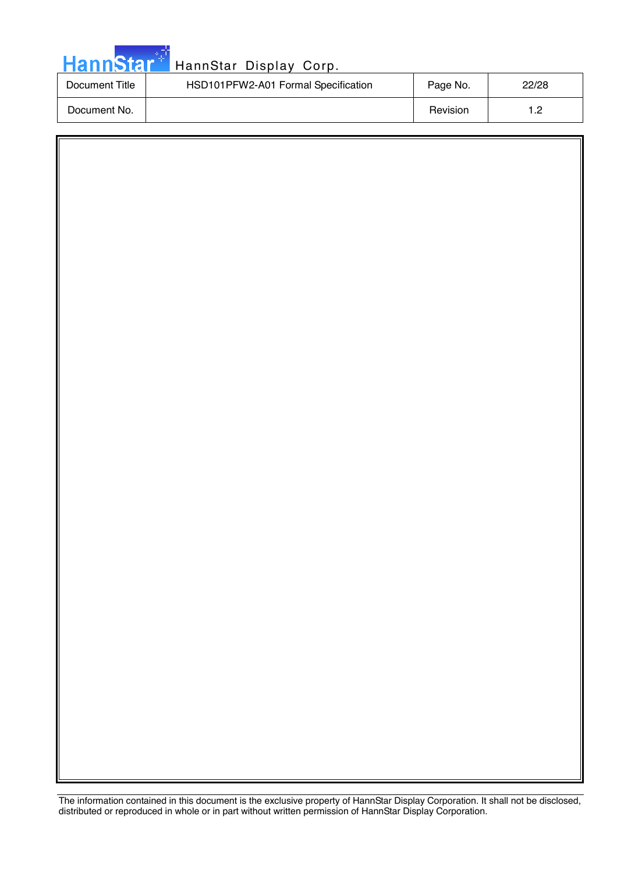| <b>Hannster</b> |  |
|-----------------|--|
|                 |  |

Ī

# HannStar Display Corp.

| Document Title | HSD101PFW2-A01 Formal Specification | Page No. | 22/28 |
|----------------|-------------------------------------|----------|-------|
| Document No.   |                                     | Revision | - מ   |

| The information contained in this document is the exclusive property of HannStar Display Corporation. It shall not be disclosed, |
|----------------------------------------------------------------------------------------------------------------------------------|
| distributed or reproduced in whole or in part without written permission of HannStar Display Corporation.                        |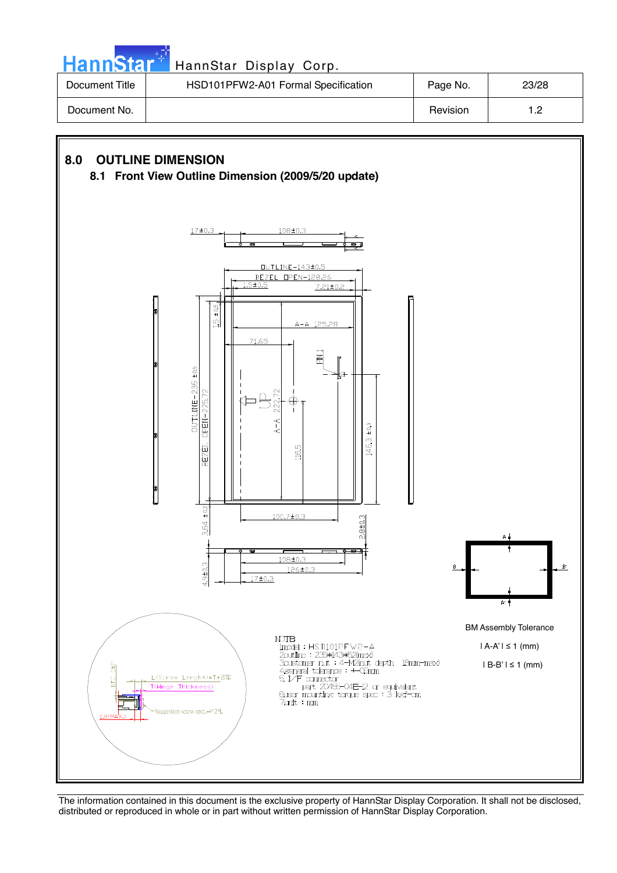**Hann**Star HannStar Display Corp. Document Title | HSD101PFW2-A01 Formal Specification | Page No. | 23/28

Document No. | Note 1.2







The information contained in this document is the exclusive property of HannStar Display Corporation. It shall not be disclosed, distributed or reproduced in whole or in part without written permission of HannStar Display Corporation.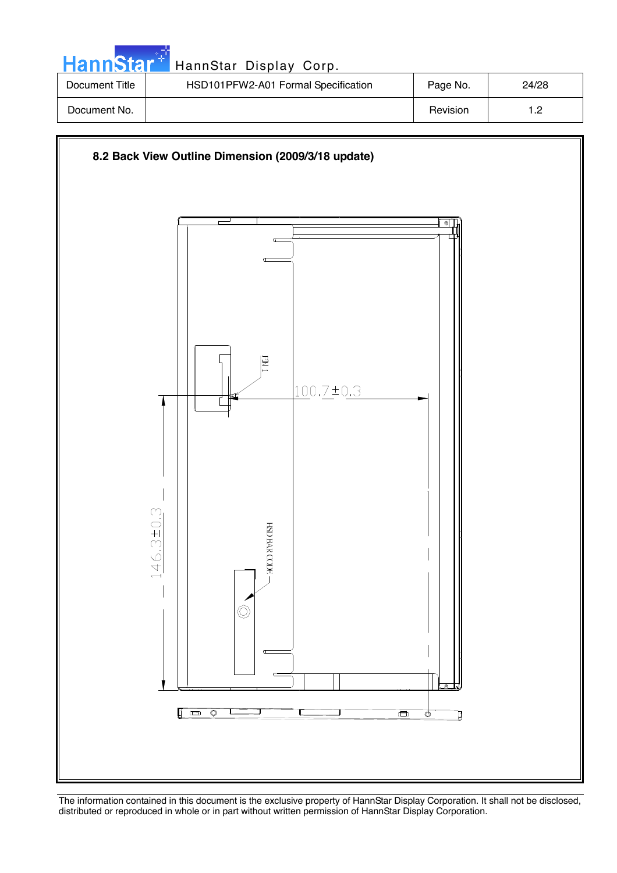| <b>HannStar</b> | HannStar Display Corp.              |          |       |
|-----------------|-------------------------------------|----------|-------|
| Document Title  | HSD101PFW2-A01 Formal Specification | Page No. | 24/28 |
| Document No.    |                                     | Revision | 1.2   |

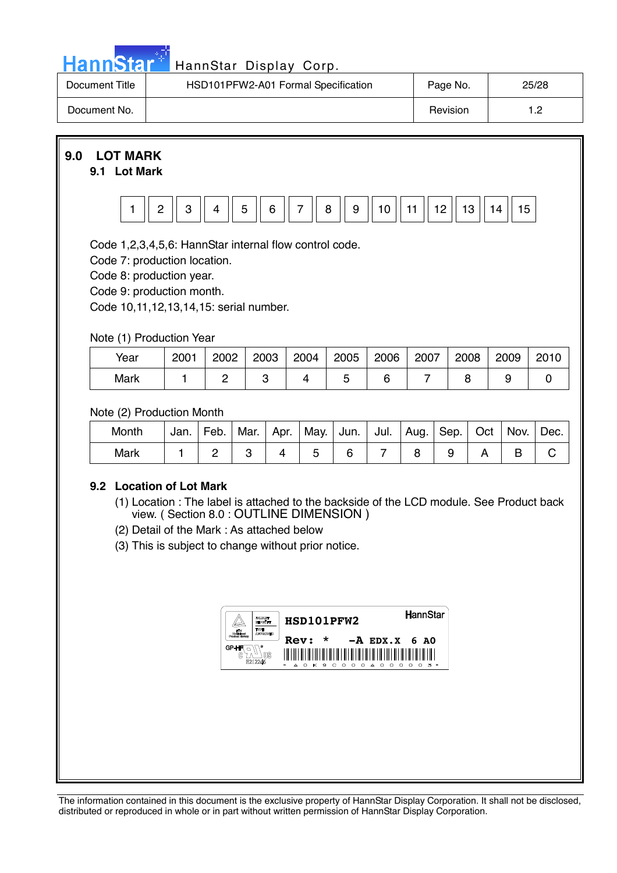| <u>ann<sup>,</sup></u> | . To i |  |
|------------------------|--------|--|

| Document Title | HSD101PFW2-A01 Formal Specification | Page No. | 25/28 |
|----------------|-------------------------------------|----------|-------|
| Document No.   |                                     | Revision |       |

**9.0 LOT MARK** 

#### **9.1 Lot Mark**



Code 1,2,3,4,5,6: HannStar internal flow control code.

Code 7: production location.

Code 8: production year.

Code 9: production month.

Code 10,11,12,13,14,15: serial number.

#### Note (1) Production Year

| Year | 2001 | 2002 | 2003 | 2004 | 2005 | 2006 | 2007 | 2008 | 2009 | 2010 |
|------|------|------|------|------|------|------|------|------|------|------|
| Mark |      |      |      |      |      |      |      |      |      |      |

#### Note (2) Production Month

| Month | Jan. | Feb. | Mar. | Apr. |  | May.   Jun.   Jul.   Aug.   Sep.   Oct |  | Nov. | Dec. |
|-------|------|------|------|------|--|----------------------------------------|--|------|------|
| Mark  |      |      |      |      |  |                                        |  |      |      |

#### **9.2 Location of Lot Mark**

- (1) Location : The label is attached to the backside of the LCD module. See Product back view. ( Section 8.0 : OUTLINE DIMENSION )
- (2) Detail of the Mark : As attached below
- (3) This is subject to change without prior notice.

| <b>TWPE</b>                                               | HSD101PFW2                                                                                                                                | <b>HannStar</b>                                  |
|-----------------------------------------------------------|-------------------------------------------------------------------------------------------------------------------------------------------|--------------------------------------------------|
| <b><i>AIRPORTMEN</i></b><br>GP-HI<br>MS<br>رىا<br>E212246 | $\star$<br>Rev:<br>║<br>║<br>Ш<br>II<br>⊪<br>⊪<br>║<br>I<br>Ш<br>$\circ$ $\circ$<br>$\triangle$ $\cap$<br>c o<br>$\bullet$<br>ĸ<br>×<br>ົ | $-A$ EDX.X 6 AO<br>⊪<br>$\circ$<br>$\Omega$<br>ີ |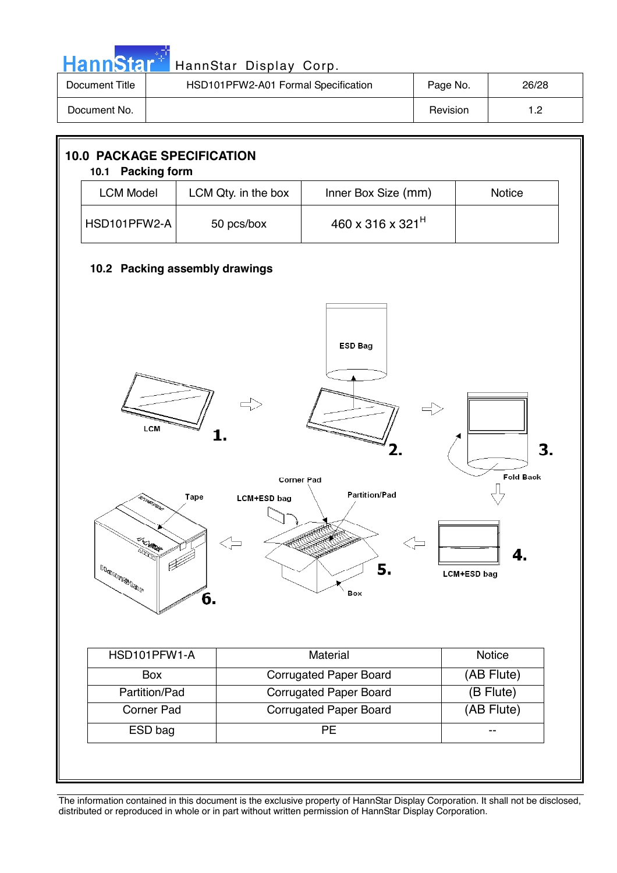| <b>HannStar</b> | HannStar Display Corp.              |          |       |  |
|-----------------|-------------------------------------|----------|-------|--|
| Document Title  | HSD101PFW2-A01 Formal Specification | Page No. | 26/28 |  |
| Document No.    |                                     | Revision | 1.2   |  |

كان ال

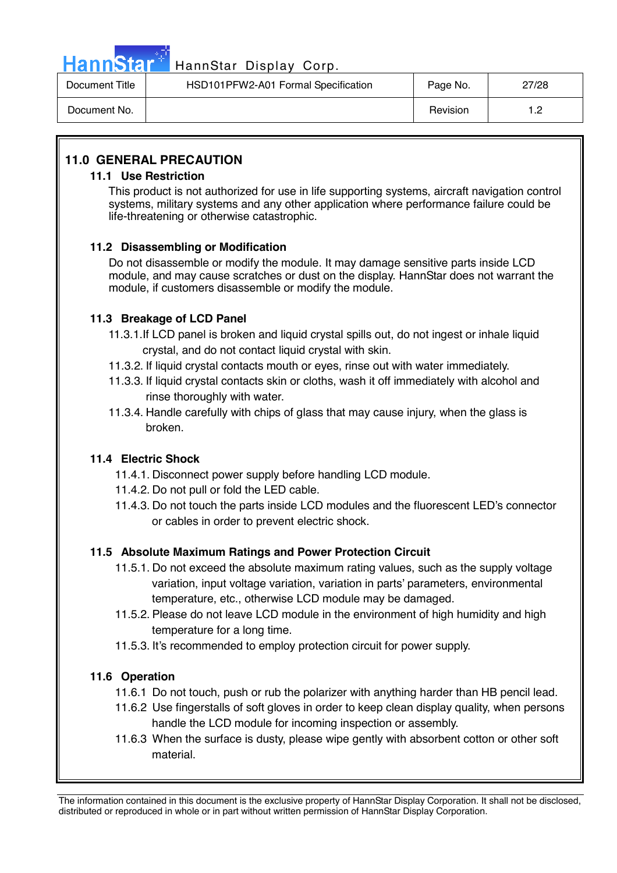

## Hann Star<sup>4</sup> HannStar Display Corp.

| Document Title | HSD101PFW2-A01 Formal Specification | Page No. | 27/28 |
|----------------|-------------------------------------|----------|-------|
| Document No.   |                                     | Revision |       |

### **11.0 GENERAL PRECAUTION**

#### **11.1 Use Restriction**

This product is not authorized for use in life supporting systems, aircraft navigation control systems, military systems and any other application where performance failure could be life-threatening or otherwise catastrophic.

#### **11.2 Disassembling or Modification**

 Do not disassemble or modify the module. It may damage sensitive parts inside LCD module, and may cause scratches or dust on the display. HannStar does not warrant the module, if customers disassemble or modify the module.

#### **11.3 Breakage of LCD Panel**

- 11.3.1.If LCD panel is broken and liquid crystal spills out, do not ingest or inhale liquid crystal, and do not contact liquid crystal with skin.
- 11.3.2. If liquid crystal contacts mouth or eyes, rinse out with water immediately.
- 11.3.3. If liquid crystal contacts skin or cloths, wash it off immediately with alcohol and rinse thoroughly with water.
- 11.3.4. Handle carefully with chips of glass that may cause injury, when the glass is broken.

#### **11.4 Electric Shock**

- 11.4.1. Disconnect power supply before handling LCD module.
- 11.4.2. Do not pull or fold the LED cable.
- 11.4.3. Do not touch the parts inside LCD modules and the fluorescent LED's connector or cables in order to prevent electric shock.

#### **11.5 Absolute Maximum Ratings and Power Protection Circuit**

- 11.5.1. Do not exceed the absolute maximum rating values, such as the supply voltage variation, input voltage variation, variation in parts' parameters, environmental temperature, etc., otherwise LCD module may be damaged.
- 11.5.2. Please do not leave LCD module in the environment of high humidity and high temperature for a long time.
- 11.5.3. It's recommended to employ protection circuit for power supply.

#### **11.6 Operation**

- 11.6.1 Do not touch, push or rub the polarizer with anything harder than HB pencil lead.
- 11.6.2 Use fingerstalls of soft gloves in order to keep clean display quality, when persons handle the LCD module for incoming inspection or assembly.
- 11.6.3 When the surface is dusty, please wipe gently with absorbent cotton or other soft material.